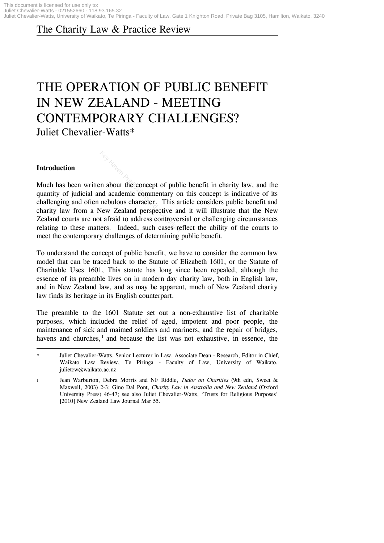# The Charity Law & Practice Review

# THE OPERATION OF PUBLIC BENEFIT IN NEW ZEALAND - MEETING CONTEMPORARY CHALLENGES? Juliet Chevalier-Watts\*

#### **Introduction**

Much has been written about the concept of public benefit in charity law, and the quantity of judicial and academic commentary on this concept is indicative of its challenging and often nebulous character. This article considers public benefit and charity law from a New Zealand perspective and it will illustrate that the New Zealand courts are not afraid to address controversial or challenging circumstances relating to these matters. Indeed, such cases reflect the ability of the courts to meet the contemporary challenges of determining public benefit. Agreementary of publications about the concept of publication<br>and academic commentary of<br>nebulous character. This and<br>New Zealand perspective and the afraid to address controver<br>ters. Indeed, such cases re

To understand the concept of public benefit, we have to consider the common law model that can be traced back to the Statute of Elizabeth 1601, or the Statute of Charitable Uses 1601, This statute has long since been repealed, although the essence of its preamble lives on in modern day charity law, both in English law, and in New Zealand law, and as may be apparent, much of New Zealand charity law finds its heritage in its English counterpart.

The preamble to the 1601 Statute set out a non-exhaustive list of charitable purposes, which included the relief of aged, impotent and poor people, the maintenance of sick and maimed soldiers and mariners, and the repair of bridges, havens and churches, $<sup>1</sup>$  and because the list was not exhaustive, in essence, the</sup>

**<sup>.</sup>** Juliet Chevalier-Watts, Senior Lecturer in Law, Associate Dean - Research, Editor in Chief, Waikato Law Review, Te Piringa - Faculty of Law, University of Waikato, julietcw@waikato.ac.nz

<sup>1</sup> Jean Warburton, Debra Morris and NF Riddle, *Tudor on Charities* (9th edn, Sweet & Maxwell, 2003) 2-3; Gino Dal Pont, *Charity Law in Australia and New Zealand* (Oxford University Press) 46-47; see also Juliet Chevalier-Watts, 'Trusts for Religious Purposes' [2010] New Zealand Law Journal Mar 55.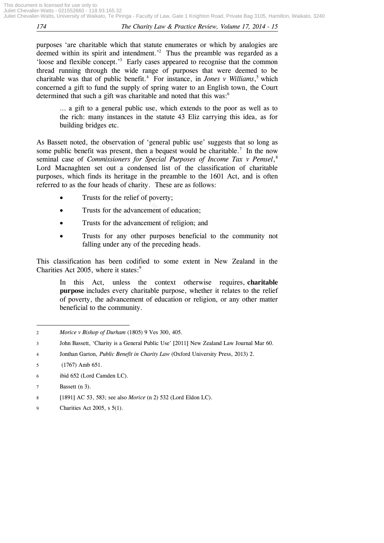purposes 'are charitable which that statute enumerates or which by analogies are deemed within its spirit and intendment.<sup>2</sup> Thus the preamble was regarded as a 'loose and flexible concept.' 3 Early cases appeared to recognise that the common thread running through the wide range of purposes that were deemed to be charitable was that of public benefit.<sup>4</sup> For instance, in *Jones v Williams*,<sup>5</sup> which concerned a gift to fund the supply of spring water to an English town, the Court determined that such a gift was charitable and noted that this was:<sup>6</sup>

… a gift to a general public use, which extends to the poor as well as to the rich: many instances in the statute 43 Eliz carrying this idea, as for building bridges etc.

As Bassett noted, the observation of 'general public use' suggests that so long as some public benefit was present, then a bequest would be charitable.<sup>7</sup> In the now seminal case of *Commissioners for Special Purposes of Income Tax v Pemsel*, 8 Lord Macnaghten set out a condensed list of the classification of charitable purposes, which finds its heritage in the preamble to the 1601 Act, and is often referred to as the four heads of charity. These are as follows: We present, then a bequest vertical purificsioners for Special Purit<br>t out a condensed list of<br>s its heritage in the preamb<br>heads of charity. These are<br>if to the relief of poverty;<br>if to the advancement of edu<br>if to the ad

- Trusts for the relief of poverty;
- Trusts for the advancement of education;
- Trusts for the advancement of religion; and
- Trusts for any other purposes beneficial to the community not falling under any of the preceding heads.

This classification has been codified to some extent in New Zealand in the Charities Act 2005, where it states: $9$ 

In this Act, unless the context otherwise requires, **charitable purpose** includes every charitable purpose, whether it relates to the relief of poverty, the advancement of education or religion, or any other matter beneficial to the community.

**<sup>.</sup>** 2 *Morice v Bishop of Durham* (1805) 9 Ves 300, 405.

<sup>3</sup> John Bassett, 'Charity is a General Public Use' [2011] New Zealand Law Journal Mar 60.

<sup>4</sup> Jonthan Garton, *Public Benefit in Charity Law* (Oxford University Press, 2013) 2.

<sup>5</sup> (1767) Amb 651.

<sup>6</sup> ibid 652 (Lord Camden LC).

<sup>7</sup> Bassett (n 3).

<sup>8</sup> [1891] AC 53, 583; see also *Morice* (n 2) 532 (Lord Eldon LC).

<sup>9</sup> Charities Act 2005, s 5(1).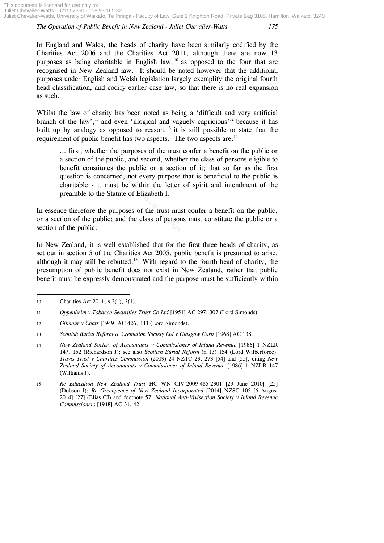In England and Wales, the heads of charity have been similarly codified by the Charities Act 2006 and the Charities Act 2011, although there are now 13 purposes as being charitable in English law,  $10^{10}$  as opposed to the four that are recognised in New Zealand law. It should be noted however that the additional purposes under English and Welsh legislation largely exemplify the original fourth head classification, and codify earlier case law, so that there is no real expansion as such.

Whilst the law of charity has been noted as being a 'difficult and very artificial branch of the law',<sup>11</sup> and even 'illogical and vaguely capricious'<sup>12</sup> because it has built up by analogy as opposed to reason,<sup>13</sup> it is still possible to state that the requirement of public benefit has two aspects. The two aspects are:<sup>14</sup>

… first, whether the purposes of the trust confer a benefit on the public or a section of the public, and second, whether the class of persons eligible to benefit constitutes the public or a section of it; that so far as the first question is concerned, not every purpose that is beneficial to the public is charitable - it must be within the letter of spirit and intendment of the preamble to the Statute of Elizabeth I. Her the purposes of the trust<br>the public, and second, wheth<br>tutes the public or a section<br>oncerned, not every purpose<br>t must be within the letter<br>ne Statute of Elizabeth I.<br>the purposes of the trust mu<br>blic; and the class

In essence therefore the purposes of the trust must confer a benefit on the public, or a section of the public; and the class of persons must constitute the public or a section of the public.

In New Zealand, it is well established that for the first three heads of charity, as set out in section 5 of the Charities Act 2005, public benefit is presumed to arise, although it may still be rebutted.<sup>15</sup> With regard to the fourth head of charity, the presumption of public benefit does not exist in New Zealand, rather that public benefit must be expressly demonstrated and the purpose must be sufficiently within

**.** 

<sup>10</sup> Charities Act 2011, s 2(1), 3(1).

<sup>11</sup> *Oppenheim v Tobacco Securities Trust Co Ltd* [1951] AC 297, 307 (Lord Simonds).

<sup>12</sup> *Gilmour v Coats* [1949] AC 426, 443 (Lord Simonds).

<sup>13</sup> *Scottish Burial Reform & Cremation Society Ltd v Glasgow Corp* [1968] AC 138.

<sup>14</sup> *New Zealand Society of Accountants v Commissioner of Inland Revenue* [1986] 1 NZLR 147, 152 (Richardson J); see also *Scottish Burial Reform* (n 13) 154 (Lord Wilberforce); *Travis Trust v Charities Commission* (2009) 24 NZTC 23, 273 [54] and [55], citing *New Zealand Society of Accountants v Commissioner of Inland Revenue* [1986] 1 NZLR 147 (Williams J).

<sup>15</sup> *Re Education New Zealand Trust* HC WN CIV-2009-485-2301 [29 June 2010] [25] (Dobson J); *Re Greenpeace of New Zealand Incorporated* [2014] NZSC 105 [6 August 2014] [27] (Elias CJ) and footnote 57; *National Anti-Vivisection Society v Inland Revenue Commissioners* [1948] AC 31, 42.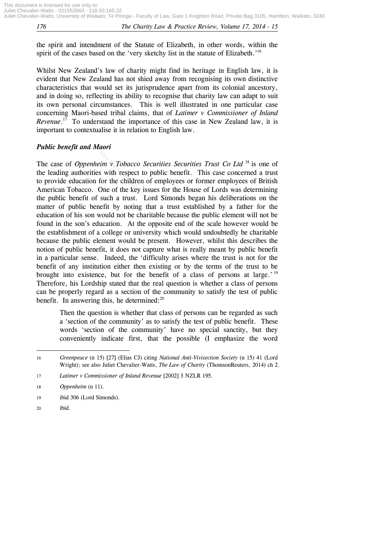the spirit and intendment of the Statute of Elizabeth, in other words, within the spirit of the cases based on the 'very sketchy list in the statute of Elizabeth.'<sup>16</sup>

Whilst New Zealand's law of charity might find its heritage in English law, it is evident that New Zealand has not shied away from recognising its own distinctive characteristics that would set its jurisprudence apart from its colonial ancestory, and in doing so, reflecting its ability to recognise that charity law can adapt to suit its own personal circumstances. This is well illustrated in one particular case concerning Maori-based tribal claims, that of *Latimer v Commissioner of Inland*  Revenue.<sup>17</sup> To understand the importance of this case in New Zealand law, it is important to contextualise it in relation to English law.

### *Public benefit and Maori*

The case of *Oppenheim v Tobacco Securities Securities Trust Co Ltd* <sup>18</sup> is one of the leading authorities with respect to public benefit. This case concerned a trust to provide education for the children of employees or former employees of British American Tobacco. One of the key issues for the House of Lords was determining the public benefit of such a trust. Lord Simonds began his deliberations on the matter of public benefit by noting that a trust established by a father for the education of his son would not be charitable because the public element will not be found in the son's education. At the opposite end of the scale however would be the establishment of a college or university which would undoubtedly be charitable because the public element would be present. However, whilst this describes the notion of public benefit, it does not capture what is really meant by public benefit in a particular sense. Indeed, the 'difficulty arises where the trust is not for the benefit of any institution either then existing or by the terms of the trust to be brought into existence, but for the benefit of a class of persons at large.'<sup>19</sup> Therefore, his Lordship stated that the real question is whether a class of persons can be properly regard as a section of the community to satisfy the test of public benefit. In answering this, he determined: $20$ For *v* Tobacco Securities Ses<br>is with respect to public benefor the children of employee<br>One of the key issues for the<br>such a trust. Lord Simon<br>efit by noting that a trust<br>would not be charitable becau<br>ucation. At the op

Then the question is whether that class of persons can be regarded as such a 'section of the community' as to satisfy the test of public benefit. These words 'section of the community' have no special sanctity, but they conveniently indicate first, that the possible (I emphasize the word

<sup>1</sup> 16 *Greenpeace* (n 15) [27] (Elias CJ) citing *National Anti-Vivisection Society* (n 15) 41 (Lord Wright); see also Juliet Chevalier-Watts, *The Law of Charity* (ThomsonReuters, 2014) ch 2.

<sup>17</sup> *Latimer v Commissioner of Inland Revenue* [2002] 3 NZLR 195.

<sup>18</sup> *Oppenheim* (n 11).

<sup>19</sup> ibid 306 (Lord Simonds).

<sup>20</sup> ibid.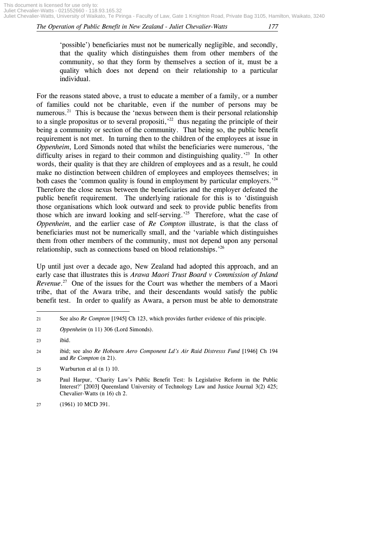'possible') beneficiaries must not be numerically negligible, and secondly, that the quality which distinguishes them from other members of the community, so that they form by themselves a section of it, must be a quality which does not depend on their relationship to a particular individual.

For the reasons stated above, a trust to educate a member of a family, or a number of families could not be charitable, even if the number of persons may be numerous.<sup>21</sup> This is because the 'nexus between them is their personal relationship to a single propositus or to several propositi,<sup> $22$ </sup> thus negating the principle of their being a community or section of the community. That being so, the public benefit requirement is not met. In turning then to the children of the employees at issue in *Oppenheim*, Lord Simonds noted that whilst the beneficiaries were numerous, 'the difficulty arises in regard to their common and distinguishing quality.<sup>'23</sup> In other words, their quality is that they are children of employees and as a result, he could make no distinction between children of employees words, their quality is that they are children of employees and as a result, he could make no distinction between children of employees and employees themselves; in both cases the 'common quality is found in employment by particular employers.<sup>24</sup> Therefore the close nexus between the beneficiaries and the employer defeated the public benefit requirement. The underlying rationale for this is to 'distinguish those organisations which look outward and seek to provide public benefits from those which are inward looking and self-serving.' 25 Therefore, what the case of *Oppenheim*, and the earlier case of *Re Compton* illustrate, is that the class of beneficiaries must not be numerically small, and the 'variable which distinguishes them from other members of the community, must not depend upon any personal relationship, such as connections based on blood relationships.<sup>'26</sup>

Up until just over a decade ago, New Zealand had adopted this approach, and an early case that illustrates this is *Arawa Maori Trust Board v Commission of Inland Revenue*.<sup>27</sup> One of the issues for the Court was whether the members of a Maori tribe, that of the Awara tribe, and their descendants would satisfy the public benefit test. In order to qualify as Awara, a person must be able to demonstrate

1

<sup>21</sup> See also *Re Compton* [1945] Ch 123, which provides further evidence of this principle.

<sup>22</sup> *Oppenheim* (n 11) 306 (Lord Simonds).

<sup>23</sup> ibid.

<sup>24</sup> ibid; see also *Re Hobourn Aero Component Ld's Air Raid Distresss Fund* [1946] Ch 194 and *Re Compton* (n 21).

<sup>25</sup> Warburton et al (n 1) 10.

<sup>26</sup> Paul Harpur, 'Charity Law's Public Benefit Test: Is Legislative Reform in the Public Interest?' [2003] Queensland University of Technology Law and Justice Journal 3(2) 425; Chevalier-Watts (n 16) ch 2.

<sup>27</sup> (1961) 10 MCD 391.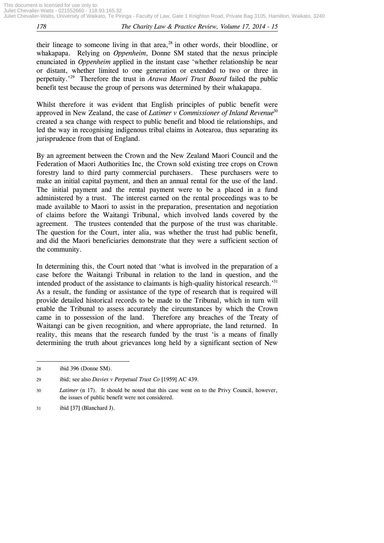their lineage to someone living in that area, $28$  in other words, their bloodline, or whakapapa. Relying on *Oppenheim*, Donne SM stated that the nexus principle enunciated in *Oppenheim* applied in the instant case 'whether relationship be near or distant, whether limited to one generation or extended to two or three in perpetuity.' 29 Therefore the trust in *Arawa Maori Trust Board* failed the public benefit test because the group of persons was determined by their whakapapa.

Whilst therefore it was evident that English principles of public benefit were approved in New Zealand, the case of *Latimer v Commissioner of Inland Revenue*<sup>30</sup> created a sea change with respect to public benefit and blood tie relationships, and led the way in recognising indigenous tribal claims in Aotearoa, thus separating its jurisprudence from that of England.

By an agreement between the Crown and the New Zealand Maori Council and the Federation of Maori Authorities Inc, the Crown sold existing tree crops on Crown forestry land to third party commercial purchasers. These purchasers were to make an initial capital payment, and then an annual rental for the use of the land. The initial payment and the rental payment were to be a placed in a fund administered by a trust. The interest earned on the rental proceedings was to be made available to Maori to assist in the preparation, presentation and negotiation of claims before the Waitangi Tribunal, which involved lands covered by the agreement. The trustees contended that the purpose of the trust was charitable. The question for the Court, inter alia, was whether the trust had public benefit, and did the Maori beneficiaries demonstrate that they were a sufficient section of the community. ween the Crown and the Nevaulthorities Inc, the Crown s<br>1 party commercial purchas<br>1 payment, and then an annu<br>and the rental payment v<br>st. The interest earned on<br>tori to assist in the preparat<br>Waitangi Tribunal, which<br>tee

In determining this, the Court noted that 'what is involved in the preparation of a case before the Waitangi Tribunal in relation to the land in question, and the intended product of the assistance to claimants is high-quality historical research.<sup>31</sup> As a result, the funding or assistance of the type of research that is required will provide detailed historical records to be made to the Tribunal, which in turn will enable the Tribunal to assess accurately the circumstances by which the Crown came in to possession of the land. Therefore any breaches of the Treaty of Waitangi can be given recognition, and where appropriate, the land returned. In reality, this means that the research funded by the trust 'is a means of finally determining the truth about grievances long held by a significant section of New

1

<sup>28</sup> ibid 396 (Donne SM).

<sup>29</sup> ibid; see also *Davies v Perpetual Trust Co* [1959] AC 439.

<sup>30</sup> *Latimer* (n 17). It should be noted that this case went on to the Privy Council, however, the issues of public benefit were not considered.

<sup>31</sup> ibid [37] (Blanchard J).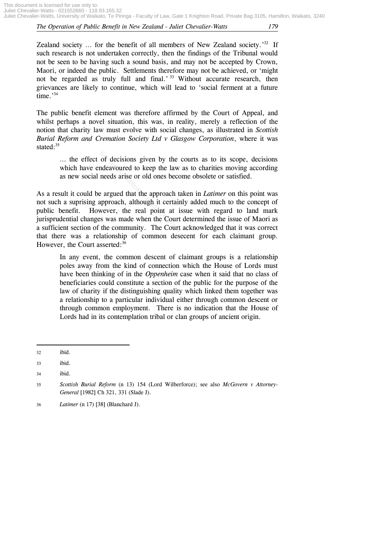Zealand society ... for the benefit of all members of New Zealand society.<sup>32</sup> If such research is not undertaken correctly, then the findings of the Tribunal would not be seen to be having such a sound basis, and may not be accepted by Crown, Maori, or indeed the public. Settlements therefore may not be achieved, or 'might not be regarded as truly full and final.<sup>33</sup> Without accurate research, then grievances are likely to continue, which will lead to 'social ferment at a future time.' 34

The public benefit element was therefore affirmed by the Court of Appeal, and whilst perhaps a novel situation, this was, in reality, merely a reflection of the notion that charity law must evolve with social changes, as illustrated in *Scottish Burial Reform and Cremation Society Ltd v Glasgow Corporation*, where it was stated: $35$ 

… the effect of decisions given by the courts as to its scope, decisions which have endeavoured to keep the law as to charities moving according as new social needs arise or old ones become obsolete or satisfied.

As a result it could be argued that the approach taken in *Latimer* on this point was not such a suprising approach, although it certainly added much to the concept of public benefit. However, the real point at issue with regard to land mark jurisprudential changes was made when the Court determined the issue of Maori as a sufficient section of the community. The Court acknowledged that it was correct that there was a relationship of common desecent for each claimant group. However, the Court asserted:<sup>36</sup> of decisions given by the<br>ndeavoured to keep the law<br>needs arise or old ones beco<br>e argued that the approach ta<br>approach, although it certain<br>wever, the real point at is<br>s was made when the Court<br>the community. The Court

In any event, the common descent of claimant groups is a relationship poles away from the kind of connection which the House of Lords must have been thinking of in the *Oppenheim* case when it said that no class of beneficiaries could constitute a section of the public for the purpose of the law of charity if the distinguishing quality which linked them together was a relationship to a particular individual either through common descent or through common employment. There is no indication that the House of Lords had in its contemplation tribal or clan groups of ancient origin.

**.** 

<sup>32</sup> ibid.

<sup>33</sup> ibid.

<sup>34</sup> ibid.

<sup>35</sup> *Scottish Burial Reform* (n 13) 154 (Lord Wilberforce); see also *McGovern v Attorney-General* [1982] Ch 321, 331 (Slade J).

<sup>36</sup> *Latimer* (n 17) [38] (Blanchard J).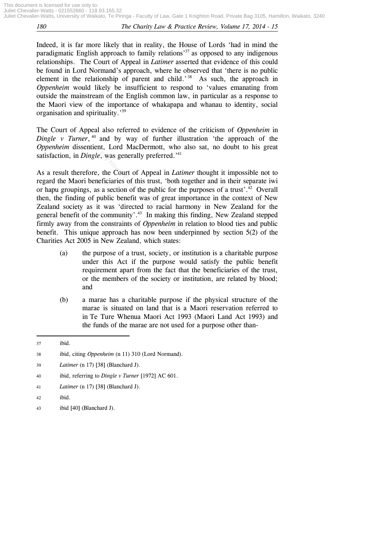Indeed, it is far more likely that in reality, the House of Lords 'had in mind the paradigmatic English approach to family relations<sup>37</sup> as opposed to any indigenous relationships. The Court of Appeal in *Latimer* asserted that evidence of this could be found in Lord Normand's approach, where he observed that 'there is no public element in the relationship of parent and child.<sup>38</sup> As such, the approach in *Oppenheim* would likely be insufficient to respond to 'values emanating from outside the mainstream of the English common law, in particular as a response to the Maori view of the importance of whakapapa and whanau to identity, social organisation and spirituality.<sup>39</sup>

The Court of Appeal also referred to evidence of the criticism of *Oppenheim* in *Dingle v Turner*, <sup>40</sup> and by way of further illustration 'the approach of the *Oppenheim* dissentient, Lord MacDermott, who also sat, no doubt to his great satisfaction, in *Dingle*, was generally preferred.<sup>'41</sup>

As a result therefore, the Court of Appeal in *Latimer* thought it impossible not to regard the Maori beneficiaries of this trust, 'both together and in their separate iwi or hapu groupings, as a section of the public for the purposes of a trust'.<sup>42</sup> Overall then, the finding of public benefit was of great importance in the context of New Zealand society as it was 'directed to racial harmony in New Zealand for the general benefit of the community'. 43 In making this finding, New Zealand stepped firmly away from the constraints of *Oppenheim* in relation to blood ties and public benefit. This unique approach has now been underpinned by section 5(2) of the Charities Act 2005 in New Zealand, which states: Key was generally preferred.<sup>141</sup><br>the Court of Appeal in *Lat*<br>eficiaries of this trust, 'both<br>a section of the public for the<br>ublic benefit was of great in<br>it was 'directed to racial has<br>community'.<sup>43</sup> In making the<br>con

- (a) the purpose of a trust, society, or institution is a charitable purpose under this Act if the purpose would satisfy the public benefit requirement apart from the fact that the beneficiaries of the trust, or the members of the society or institution, are related by blood; and
- (b) a marae has a charitable purpose if the physical structure of the marae is situated on land that is a Maori reservation referred to in Te Ture Whenua Maori Act 1993 (Maori Land Act 1993) and the funds of the marae are not used for a purpose other than-

**.** 

40 ibid, referring to *Dingle v Turner* [1972] AC 601.

- 42 ibid.
- 43 ibid [40] (Blanchard J).

<sup>37</sup> ibid.

<sup>38</sup> ibid, citing *Oppenheim* (n 11) 310 (Lord Normand).

<sup>39</sup> *Latimer* (n 17) [38] (Blanchard J).

<sup>41</sup> *Latimer* (n 17) [38] (Blanchard J).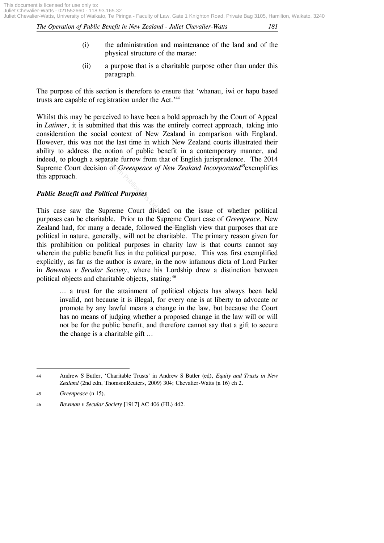- (i) the administration and maintenance of the land and of the physical structure of the marae:
- (ii) a purpose that is a charitable purpose other than under this paragraph.

The purpose of this section is therefore to ensure that 'whanau, iwi or hapu based trusts are capable of registration under the Act.<sup>44</sup>

Whilst this may be perceived to have been a bold approach by the Court of Appeal in *Latimer*, it is submitted that this was the entirely correct approach, taking into consideration the social context of New Zealand in comparison with England. However, this was not the last time in which New Zealand courts illustrated their ability to address the notion of public benefit in a contemporary manner, and indeed, to plough a separate furrow from that of English jurisprudence. The 2014 Supreme Court decision of *Greenpeace of New Zealand Incorporated*<sup>45</sup> exemplifies this approach. Find to Public Benefit<br>Pearate furrow from that of I<br>on of *Greenpeace of New Z*<br>Ditical Purposes<br>Supreme Court divided on<br>table. Prior to the Supreme<br>y a decade, followed the Er

## *Public Benefit and Political Purposes*

This case saw the Supreme Court divided on the issue of whether political purposes can be charitable. Prior to the Supreme Court case of *Greenpeace*, New Zealand had, for many a decade, followed the English view that purposes that are political in nature, generally, will not be charitable. The primary reason given for this prohibition on political purposes in charity law is that courts cannot say wherein the public benefit lies in the political purpose. This was first exemplified explicitly, as far as the author is aware, in the now infamous dicta of Lord Parker in *Bowman v Secular Society*, where his Lordship drew a distinction between political objects and charitable objects, stating:<sup>46</sup>

… a trust for the attainment of political objects has always been held invalid, not because it is illegal, for every one is at liberty to advocate or promote by any lawful means a change in the law, but because the Court has no means of judging whether a proposed change in the law will or will not be for the public benefit, and therefore cannot say that a gift to secure the change is a charitable gift …

**<sup>.</sup>** 44 Andrew S Butler, 'Charitable Trusts' in Andrew S Butler (ed), *Equity and Trusts in New Zealand* (2nd edn, ThomsonReuters, 2009) 304; Chevalier-Watts (n 16) ch 2.

<sup>45</sup> *Greenpeace* (n 15).

<sup>46</sup> *Bowman v Secular Society* [1917] AC 406 (HL) 442.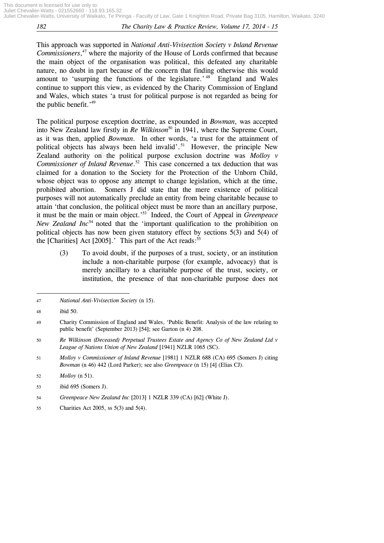This approach was supported in *National Anti-Vivisection Society v Inland Revenue Commissioners*, <sup>47</sup> where the majority of the House of Lords confirmed that because the main object of the organisation was political, this defeated any charitable nature, no doubt in part because of the concern that finding otherwise this would amount to 'usurping the functions of the legislature.'<sup>48</sup> England and Wales continue to support this view, as evidenced by the Charity Commission of England and Wales, which states 'a trust for political purpose is not regarded as being for the public benefit.<sup>'49</sup>

The political purpose exception doctrine, as expounded in *Bowman*, was accepted into New Zealand law firstly in *Re Wilkinson*<sup>50</sup> in 1941, where the Supreme Court, as it was then, applied *Bowman*. In other words, 'a trust for the attainment of political objects has always been held invalid'. <sup>51</sup> However, the principle New Zealand authority on the political purpose exclusion doctrine was *Molloy v Commissioner of Inland Revenue*<sup>52</sup> This case concerned a tax deduction that was claimed for a donation to the Society for the Protection of th *Commissioner of Inland Revenue*. 52 This case concerned a tax deduction that was claimed for a donation to the Society for the Protection of the Unborn Child, whose object was to oppose any attempt to change legislation, which at the time, prohibited abortion. Somers J did state that the mere existence of political purposes will not automatically preclude an entity from being charitable because to attain 'that conclusion, the political object must be more than an ancillary purpose, it must be the main or main object.' 53 Indeed, the Court of Appeal in *Greenpeace New Zealand Inc*<sup>54</sup> noted that the 'important qualification to the prohibition on political objects has now been given statutory effect by sections 5(3) and 5(4) of the [Charities] Act [2005].' This part of the Act reads: $55$ 

(3) To avoid doubt, if the purposes of a trust, society, or an institution include a non-charitable purpose (for example, advocacy) that is merely ancillary to a charitable purpose of the trust, society, or institution, the presence of that non-charitable purpose does not

 $\overline{a}$ 

<sup>47</sup> *National Anti-Vivisection Society* (n 15).

<sup>48</sup> ibid 50.

<sup>49</sup> Charity Commission of England and Wales, 'Public Benefit: Analysis of the law relating to public benefit' (September 2013) [54]; see Garton (n 4) 208.

<sup>50</sup> *Re Wilkinson (Deceased) Perpetual Trustees Estate and Agency Co of New Zealand Ltd v League of Nations Union of New Zealand* [1941] NZLR 1065 (SC).

<sup>51</sup> *Molloy v Commissioner of Inland Revenue* [1981] 1 NZLR 688 (CA) 695 (Somers J) citing *Bowman* (n 46) 442 (Lord Parker); see also *Greenpeace* (n 15) [4] (Elias CJ).

<sup>52</sup> *Molloy* (n 51).

<sup>53</sup> ibid 695 (Somers J).

<sup>54</sup> *Greenpeace New Zealand Inc* [2013] 1 NZLR 339 (CA) [62] (White J).

<sup>55</sup> Charities Act 2005, ss 5(3) and 5(4).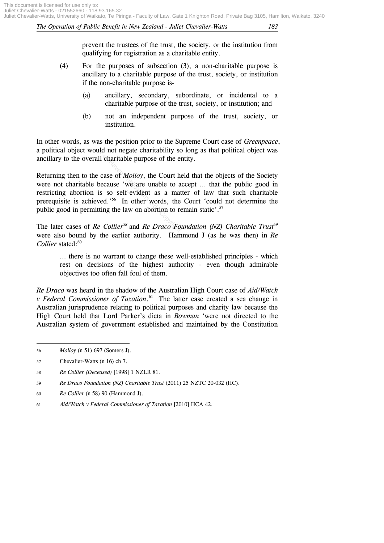prevent the trustees of the trust, the society, or the institution from qualifying for registration as a charitable entity.

- (4) For the purposes of subsection (3), a non-charitable purpose is ancillary to a charitable purpose of the trust, society, or institution if the non-charitable purpose is-
	- (a) ancillary, secondary, subordinate, or incidental to a charitable purpose of the trust, society, or institution; and
	- (b) not an independent purpose of the trust, society, or institution.

In other words, as was the position prior to the Supreme Court case of *Greenpeace*, a political object would not negate charitability so long as that political object was ancillary to the overall charitable purpose of the entity.

Returning then to the case of *Molloy*, the Court held that the objects of the Society were not charitable because 'we are unable to accept … that the public good in restricting abortion is so self-evident as a matter of law that such charitable prerequisite is achieved.' 56 In other words, the Court 'could not determine the public good in permitting the law on abortion to remain static'.<sup>57</sup> I charitable purpose of the e<br>case of *Molloy*, the Court h<br>ecause 'we are unable to a<br>s so self-evident as a mat<br>ed.'<sup>56</sup> In other words, the<br>ting the law on abortion to re<br>*Collier<sup>58</sup>* and *Re Draco Fo* 

The later cases of *Re Collier<sup>58</sup>* and *Re Draco Foundation (NZ) Charitable Trust<sup>59</sup>* were also bound by the earlier authority. Hammond J (as he was then) in *Re*  Collier stated:<sup>60</sup>

… there is no warrant to change these well-established principles - which rest on decisions of the highest authority - even though admirable objectives too often fall foul of them.

*Re Draco* was heard in the shadow of the Australian High Court case of *Aid/Watch v Federal Commissioner of Taxation*. 61 The latter case created a sea change in Australian jurisprudence relating to political purposes and charity law because the High Court held that Lord Parker's dicta in *Bowman* 'were not directed to the Australian system of government established and maintained by the Constitution

1

- 57 Chevalier-Watts (n 16) ch 7.
- 58 *Re Collier (Deceased)* [1998] 1 NZLR 81.
- 59 *Re Draco Foundation (NZ) Charitable Trust* (2011) 25 NZTC 20-032 (HC).
- 60 *Re Collier* (n 58) 90 (Hammond J).
- 61 *Aid/Watch v Federal Commissioner of Taxation* [2010] HCA 42.

<sup>56</sup> *Molloy* (n 51) 697 (Somers J).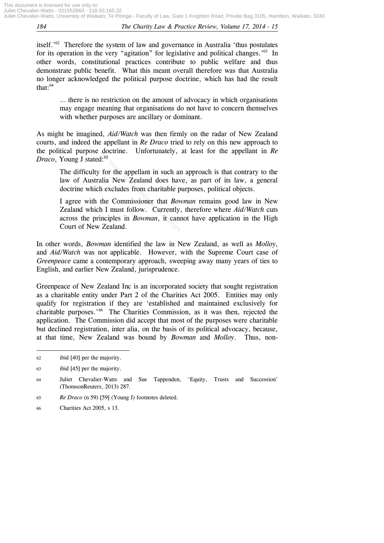itself.' 62 Therefore the system of law and governance in Australia 'thus postulates for its operation in the very "agitation" for legislative and political changes.<sup>563</sup> In other words, constitutional practices contribute to public welfare and thus demonstrate public benefit. What this meant overall therefore was that Australia no longer acknowledged the political purpose doctrine, which has had the result that: $64$ 

… there is no restriction on the amount of advocacy in which organisations may engage meaning that organisations do not have to concern themselves with whether purposes are ancillary or dominant.

As might be imagined, *Aid/Watch* was then firmly on the radar of New Zealand courts, and indeed the appellant in *Re Draco* tried to rely on this new approach to the political purpose doctrine. Unfortunately, at least for the appellant in *Re Draco*, Young J stated:<sup>65</sup>

The difficulty for the appellant in such an approach is that contrary to the law of Australia New Zealand does have, as part of its law, a general doctrine which excludes from charitable purposes, political objects.

I agree with the Commissioner that *Bowman* remains good law in New Zealand which I must follow. Currently, therefore where *Aid/Watch* cuts across the principles in *Bowman*, it cannot have application in the High Court of New Zealand.  $\frac{A^{1.65}}{1.65}$  for the appellant in such and<br>alia New Zealand does have hexcludes from charitable p<br>the Commissioner that *Bov*<br>h I must follow. Currently<br>inciples in *Bowman*, it can<br>Zealand.

In other words, *Bowman* identified the law in New Zealand, as well as *Molloy*, and *Aid/Watch* was not applicable. However, with the Supreme Court case of *Greenpeace* came a contemporary approach, sweeping away many years of ties to English, and earlier New Zealand, jurisprudence.

Greenpeace of New Zealand Inc is an incorporated society that sought registration as a charitable entity under Part 2 of the Charities Act 2005. Entities may only qualify for registration if they are 'established and maintained exclusively for charitable purposes.' 66 The Charities Commission, as it was then, rejected the application. The Commission did accept that most of the purposes were charitable but declined registration, inter alia, on the basis of its political advocacy, because, at that time, New Zealand was bound by *Bowman* and *Molloy*. Thus, non-

1

65 *Re Draco* (n 59) [59] (Young J) footnotes deleted.

<sup>62</sup> ibid [40] per the majority.

<sup>63</sup> ibid [45] per the majority.

<sup>64</sup> Juliet Chevalier-Watts and Sue Tappenden, 'Equity, Trusts and Succession' (ThomsonReuters, 2013) 287.

<sup>66</sup> Charities Act 2005, s 13.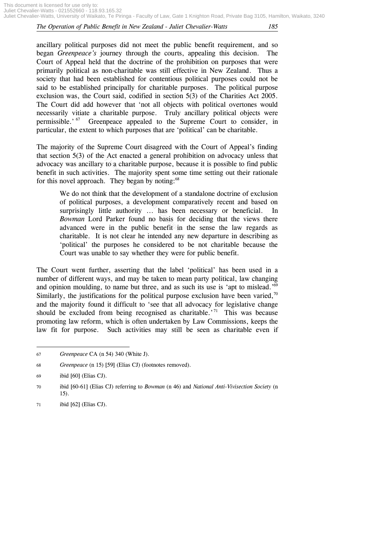ancillary political purposes did not meet the public benefit requirement, and so began *Greenpeace's* journey through the courts, appealing this decision. The Court of Appeal held that the doctrine of the prohibition on purposes that were primarily political as non-charitable was still effective in New Zealand. Thus a society that had been established for contentious political purposes could not be said to be established principally for charitable purposes. The political purpose exclusion was, the Court said, codified in section 5(3) of the Charities Act 2005. The Court did add however that 'not all objects with political overtones would necessarily vitiate a charitable purpose. Truly ancillary political objects were permissible.'<sup>67</sup> Greenpeace appealed to the Supreme Court to consider, in particular, the extent to which purposes that are 'political' can be charitable.

The majority of the Supreme Court disagreed with the Court of Appeal's finding that section 5(3) of the Act enacted a general prohibition on advocacy unless that advocacy was ancillary to a charitable purpose, because it is possible to find public benefit in such activities. The majority spent some time setting out their rationale for this novel approach. They began by noting: $68$ 

We do not think that the development of a standalone doctrine of exclusion of political purposes, a development comparatively recent and based on surprisingly little authority ... has been necessary or beneficial. In *Bowman* Lord Parker found no basis for deciding that the views there advanced were in the public benefit in the sense the law regards as charitable. It is not clear he intended any new departure in describing as 'political' the purposes he considered to be not charitable because the Court was unable to say whether they were for public benefit. The Act enacted a general propose, be<br>ies. The majority spent son<br>ies. The majority spent son<br>h. They began by noting:<sup>68</sup><br>nk that the development of a<br>urposes, a development con<br>little authority ... has bee<br>d Parker found

The Court went further, asserting that the label 'political' has been used in a number of different ways, and may be taken to mean party political, law changing and opinion moulding, to name but three, and as such its use is 'apt to mislead.'<sup>69</sup> Similarly, the justifications for the political purpose exclusion have been varied, $70$ and the majority found it difficult to 'see that all advocacy for legislative change should be excluded from being recognised as charitable.<sup> $71$ </sup> This was because promoting law reform, which is often undertaken by Law Commissions, keeps the law fit for purpose. Such activities may still be seen as charitable even if

1

<sup>67</sup> *Greenpeace* CA (n 54) 340 (White J).

<sup>68</sup> *Greenpeace* (n 15) [59] (Elias CJ) (footnotes removed).

<sup>69</sup> ibid [60] (Elias CJ).

<sup>70</sup> ibid [60-61] (Elias CJ) referring to *Bowman* (n 46) and *National Anti-Vivisection Society* (n 15).

<sup>71</sup> ibid [62] (Elias CJ).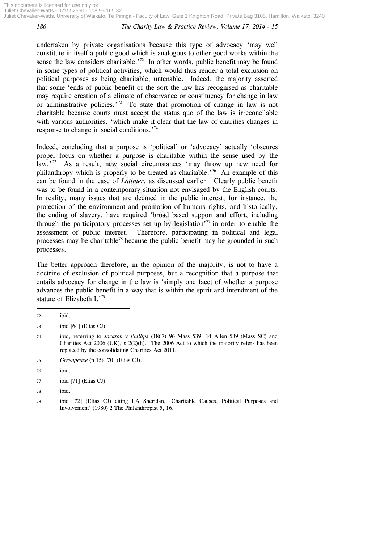undertaken by private organisations because this type of advocacy 'may well constitute in itself a public good which is analogous to other good works within the sense the law considers charitable.<sup>72</sup> In other words, public benefit may be found in some types of political activities, which would thus render a total exclusion on political purposes as being charitable, untenable. Indeed, the majority asserted that some 'ends of public benefit of the sort the law has recognised as charitable may require creation of a climate of observance or constituency for change in law or administrative policies.<sup>73</sup> To state that promotion of change in law is not charitable because courts must accept the status quo of the law is irreconcilable with various authorities, 'which make it clear that the law of charities changes in response to change in social conditions.<sup>74</sup>

Indeed, concluding that a purpose is 'political' or 'advocacy' actually 'obscures proper focus on whether a purpose is charitable within the sense used by the law.'<sup>75</sup> As a result, new social circumstances 'may throw up new need for philanthropy which is properly to be treated as charitable.<sup>76</sup> An example of this can be found in the case of *Latimer*, as discussed earlier. Clearly public benefit was to be found in a contemporary situation not envisaged by the English courts. In reality, many issues that are deemed in the public interest, for instance, the protection of the environment and promotion of humans rights, and historically, the ending of slavery, have required 'broad based support and effort, including through the participatory processes set up by legislation<sup> $77$ </sup> in order to enable the assessment of public interest. Therefore, participating in political and legal processes may be charitable<sup>78</sup> because the public benefit may be grounded in such processes. efther a purpose is charitable, new social circumstances<br>s properly to be treated as c<br>case of *Latimer*, as discusse<br>contemporary situation not<br>es that are deemed in the<br>ironment and promotion of<br>the interval of the requi

The better approach therefore, in the opinion of the majority, is not to have a doctrine of exclusion of political purposes, but a recognition that a purpose that entails advocacy for change in the law is 'simply one facet of whether a purpose advances the public benefit in a way that is within the spirit and intendment of the statute of Elizabeth I.'79

**.** 

75 *Greenpeace* (n 15) [70] (Elias CJ).

78 ibid.

<sup>72</sup> ibid.

<sup>73</sup> ibid [64] (Elias CJ).

<sup>74</sup> ibid, referring to *Jackson v Phillips* (1867) 96 Mass 539, 14 Allen 539 (Mass SC) and Charities Act 2006 (UK), s 2(2)(h). The 2006 Act to which the majority refers has been replaced by the consolidating Charities Act 2011.

<sup>76</sup> ibid.

<sup>77</sup> ibid [71] (Elias CJ).

<sup>79</sup> ibid [72] (Elias CJ) citing LA Sheridan, 'Charitable Causes, Political Purposes and Involvement' (1980) 2 The Philanthropist 5, 16.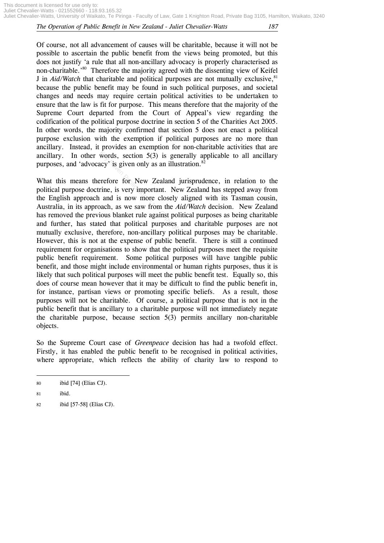This document is licensed for use only to: Juliet Chevalier-Watts - 021552660 - 118.93.165.32 Juliet Chevalier-Watts, University of Waikato, Te Piringa - Faculty of Law, Gate 1 Knighton Road, Private Bag 3105, Hamilton, Waikato, 3240

#### *The Operation of Public Benefit in New Zealand - Juliet Chevalier-Watts 187*

Of course, not all advancement of causes will be charitable, because it will not be possible to ascertain the public benefit from the views being promoted, but this does not justify 'a rule that all non-ancillary advocacy is properly characterised as non-charitable.' 80 Therefore the majority agreed with the dissenting view of Keifel J in *Aid/Watch* that charitable and political purposes are not mutually exclusive,<sup>81</sup> because the public benefit may be found in such political purposes, and societal changes and needs may require certain political activities to be undertaken to ensure that the law is fit for purpose. This means therefore that the majority of the Supreme Court departed from the Court of Appeal's view regarding the codification of the political purpose doctrine in section 5 of the Charities Act 2005. In other words, the majority confirmed that section 5 does not enact a political purpose exclusion with the exemption if political purposes are no more than ancillary. Instead, it provides an exemption for non-charitable activities that are ancillary. In other words, section 5(3) is generally applicable to all ancillary purposes, and 'advocacy' is given only as an illustration.<sup>82</sup>

What this means therefore for New Zealand jurisprudence, in relation to the political purpose doctrine, is very important. New Zealand has stepped away from the English approach and is now more closely aligned with its Tasman cousin, Australia, in its approach, as we saw from the *Aid/Watch* decision. New Zealand has removed the previous blanket rule against political purposes as being charitable and further, has stated that political purposes and charitable purposes are not mutually exclusive, therefore, non-ancillary political purposes may be charitable. However, this is not at the expense of public benefit. There is still a continued requirement for organisations to show that the political purposes meet the requisite public benefit requirement. Some political purposes will have tangible public benefit, and those might include environmental or human rights purposes, thus it is likely that such political purposes will meet the public benefit test. Equally so, this does of course mean however that it may be difficult to find the public benefit in, for instance, partisan views or promoting specific beliefs. As a result, those purposes will not be charitable. Of course, a political purpose that is not in the public benefit that is ancillary to a charitable purpose will not immediately negate the charitable purpose, because section 5(3) permits ancillary non-charitable objects. words, section 5(3) is genacy' is given only as an illust<br>erefore for New Zealand j<br>erefore for New Zealand j<br>rine, is very important. New<br>and is now more closely<br>pach, as we saw from the Au<br>ious blanket rule against poli

So the Supreme Court case of *Greenpeace* decision has had a twofold effect. Firstly, it has enabled the public benefit to be recognised in political activities, where appropriate, which reflects the ability of charity law to respond to

**<sup>.</sup>** 80 ibid [74] (Elias CJ).

<sup>81</sup> ibid.

<sup>82</sup> ibid [57-58] (Elias CJ).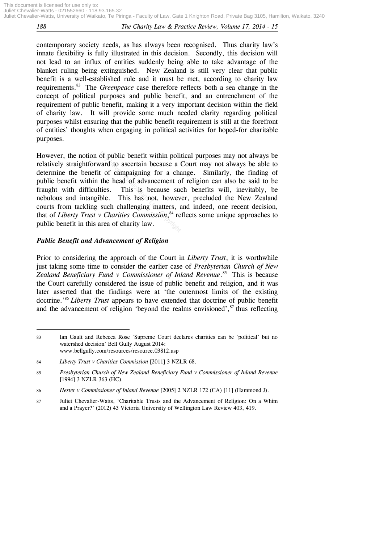contemporary society needs, as has always been recognised. Thus charity law's innate flexibility is fully illustrated in this decision. Secondly, this decision will not lead to an influx of entities suddenly being able to take advantage of the blanket ruling being extinguished. New Zealand is still very clear that public benefit is a well-established rule and it must be met, according to charity law requirements.<sup>83</sup> The *Greenpeace* case therefore reflects both a sea change in the concept of political purposes and public benefit, and an entrenchment of the requirement of public benefit, making it a very important decision within the field of charity law. It will provide some much needed clarity regarding political purposes whilst ensuring that the public benefit requirement is still at the forefront of entities' thoughts when engaging in political activities for hoped-for charitable purposes.

However, the notion of public benefit within political purposes may not always be relatively straightforward to ascertain because a Court may not always be able to determine the benefit of campaigning for a change. Similarly, the finding of public benefit within the head of advancement of religion can also be said to be fraught with difficulties. This is because such benefits will, inevitably, be nebulous and intangible. This has not, however, precluded the New Zealand courts from tackling such challenging matters, and indeed, one recent decision, that of *Liberty Trust v Charities Commission*, <sup>84</sup> reflects some unique approaches to public benefit in this area of charity law. of public benefit within politicary<br>vard to ascertain because a v<br>t of campaigning for a character of the head of advancement of<br>ties. This is because sue<br>ble. This has not, howev<br>such challenging matters, a<br>v Charities C

#### *Public Benefit and Advancement of Religion*

**.** 

Prior to considering the approach of the Court in *Liberty Trust*, it is worthwhile just taking some time to consider the earlier case of *Presbyterian Church of New Zealand Beneficiary Fund v Commissioner of Inland Revenue*. <sup>85</sup> This is because the Court carefully considered the issue of public benefit and religion, and it was later asserted that the findings were at 'the outermost limits of the existing doctrine.' <sup>86</sup> *Liberty Trust* appears to have extended that doctrine of public benefit and the advancement of religion 'beyond the realms envisioned', <sup>87</sup> thus reflecting

<sup>83</sup> Ian Gault and Rebecca Rose 'Supreme Court declares charities can be 'political' but no watershed decision' Bell Gully August 2014: www.bellgully.com/resources/resource.03812.asp

<sup>84</sup> *Liberty Trust v Charities Commission* [2011] 3 NZLR 68.

<sup>85</sup> *Presbyterian Church of New Zealand Beneficiary Fund v Commissioner of Inland Revenue* [1994] 3 NZLR 363 (HC).

<sup>86</sup> *Hester v Commissioner of Inland Revenue* [2005] 2 NZLR 172 (CA) [11] (Hammond J).

<sup>87</sup> Juliet Chevalier-Watts, 'Charitable Trusts and the Advancement of Religion: On a Whim and a Prayer?' (2012) 43 Victoria University of Wellington Law Review 403, 419.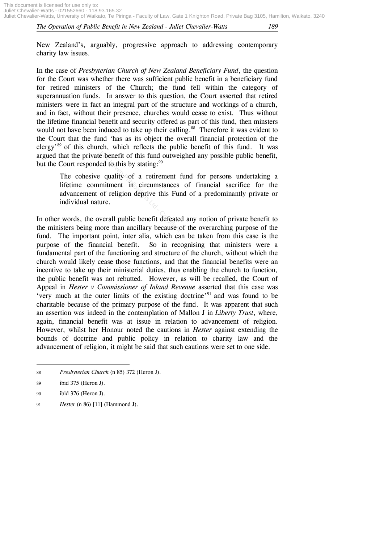New Zealand's, arguably, progressive approach to addressing contemporary charity law issues.

In the case of *Presbyterian Church of New Zealand Beneficiary Fund*, the question for the Court was whether there was sufficient public benefit in a beneficiary fund for retired ministers of the Church; the fund fell within the category of superannuation funds. In answer to this question, the Court asserted that retired ministers were in fact an integral part of the structure and workings of a church, and in fact, without their presence, churches would cease to exist. Thus without the lifetime financial benefit and security offered as part of this fund, then minsters would not have been induced to take up their calling.<sup>88</sup> Therefore it was evident to the Court that the fund 'has as its object the overall financial protection of the clergy' <sup>89</sup> of this church, which reflects the public benefit of this fund. It was argued that the private benefit of this fund outweighed any possible public benefit, but the Court responded to this by stating:<sup>90</sup>

The cohesive quality of a retirement fund for persons undertaking a lifetime commitment in circumstances of financial sacrifice for the advancement of religion deprive this Fund of a predominantly private or individual nature. Exercit of this fund outweind to this by stating:<sup>90</sup><br>
Exercise 4 of this by stating:<sup>90</sup><br>
Equality of a retirement 1<br>
mitment in circumstances<br>
of religion deprive this Furnure.<br>
Neverall public benefit defeated<br>
ore than

In other words, the overall public benefit defeated any notion of private benefit to the ministers being more than ancillary because of the overarching purpose of the fund. The important point, inter alia, which can be taken from this case is the purpose of the financial benefit. So in recognising that ministers were a fundamental part of the functioning and structure of the church, without which the church would likely cease those functions, and that the financial benefits were an incentive to take up their ministerial duties, thus enabling the church to function, the public benefit was not rebutted. However, as will be recalled, the Court of Appeal in *Hester v Commissioner of Inland Revenue* asserted that this case was 'very much at the outer limits of the existing doctrine' <sup>91</sup> and was found to be charitable because of the primary purpose of the fund. It was apparent that such an assertion was indeed in the contemplation of Mallon J in *Liberty Trust*, where, again, financial benefit was at issue in relation to advancement of religion. However, whilst her Honour noted the cautions in *Hester* against extending the bounds of doctrine and public policy in relation to charity law and the advancement of religion, it might be said that such cautions were set to one side.

**.** 88 *Presbyterian Church* (n 85) 372 (Heron J).

<sup>89</sup> ibid 375 (Heron J).

<sup>90</sup> ibid 376 (Heron J).

<sup>91</sup> *Hester* (n 86) [11] (Hammond J).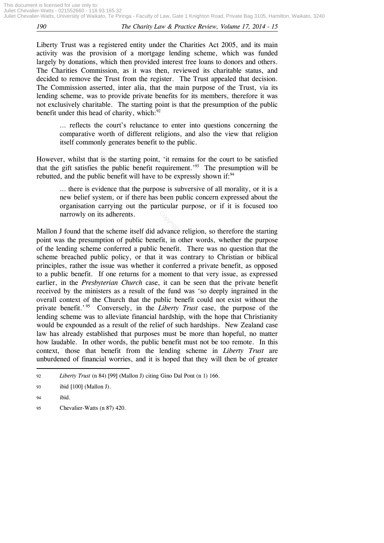Liberty Trust was a registered entity under the Charities Act 2005, and its main activity was the provision of a mortgage lending scheme, which was funded largely by donations, which then provided interest free loans to donors and others. The Charities Commission, as it was then, reviewed its charitable status, and decided to remove the Trust from the register. The Trust appealed that decision. The Commission asserted, inter alia, that the main purpose of the Trust, via its lending scheme, was to provide private benefits for its members, therefore it was not exclusively charitable. The starting point is that the presumption of the public benefit under this head of charity, which: $92$ 

… reflects the court's reluctance to enter into questions concerning the comparative worth of different religions, and also the view that religion itself commonly generates benefit to the public.

However, whilst that is the starting point, 'it remains for the court to be satisfied that the gift satisfies the public benefit requirement.<sup>93</sup> The presumption will be rebutted, and the public benefit will have to be expressly shown if: $94$ 

… there is evidence that the purpose is subversive of all morality, or it is a new belief system, or if there has been public concern expressed about the organisation carrying out the particular purpose, or if it is focused too narrowly on its adherents. is the starting point, 'it ren<br>the public benefit requirem<br>ic benefit will have to be explidence that the purpose is su<br>idence that the purpose is su<br>stem, or if there has been pure and the particular<br>ts adherents.

Mallon J found that the scheme itself did advance religion, so therefore the starting point was the presumption of public benefit, in other words, whether the purpose of the lending scheme conferred a public benefit. There was no question that the scheme breached public policy, or that it was contrary to Christian or biblical principles, rather the issue was whether it conferred a private benefit, as opposed to a public benefit. If one returns for a moment to that very issue, as expressed earlier, in the *Presbyterian Church* case, it can be seen that the private benefit received by the ministers as a result of the fund was 'so deeply ingrained in the overall context of the Church that the public benefit could not exist without the private benefit.' 95 Conversely, in the *Liberty Trust* case, the purpose of the lending scheme was to alleviate financial hardship, with the hope that Christianity would be expounded as a result of the relief of such hardships. New Zealand case law has already established that purposes must be more than hopeful, no matter how laudable. In other words, the public benefit must not be too remote. In this context, those that benefit from the lending scheme in *Liberty Trust* are unburdened of financial worries, and it is hoped that they will then be of greater

**.** 

<sup>92</sup> *Liberty Trust* (n 84) [99] (Mallon J) citing Gino Dal Pont (n 1) 166.

<sup>93</sup> ibid [100] (Mallon J).

<sup>94</sup> ibid.

<sup>95</sup> Chevalier-Watts (n 87) 420.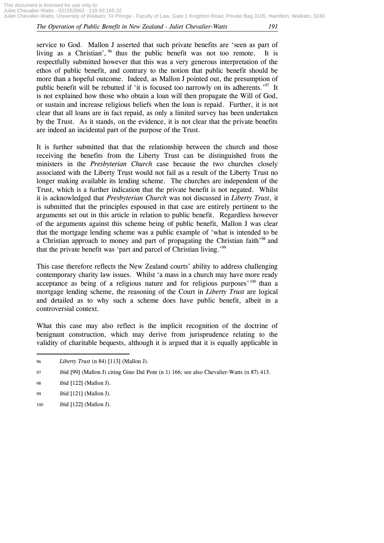This document is licensed for use only to: Juliet Chevalier-Watts - 021552660 - 118.93.165.32 Juliet Chevalier-Watts, University of Waikato, Te Piringa - Faculty of Law, Gate 1 Knighton Road, Private Bag 3105, Hamilton, Waikato, 3240

#### *The Operation of Public Benefit in New Zealand - Juliet Chevalier-Watts 191*

service to God. Mallon J asserted that such private benefits are 'seen as part of living as a Christian',  $96$  thus the public benefit was not too remote. It is respectfully submitted however that this was a very generous interpretation of the ethos of public benefit, and contrary to the notion that public benefit should be more than a hopeful outcome. Indeed, as Mallon J pointed out, the presumption of public benefit will be rebutted if 'it is focused too narrowly on its adherents.<sup>'97</sup> It is not explained how those who obtain a loan will then propagate the Will of God, or sustain and increase religious beliefs when the loan is repaid. Further, it is not clear that all loans are in fact repaid, as only a limited survey has been undertaken by the Trust. As it stands, on the evidence, it is not clear that the private benefits are indeed an incidental part of the purpose of the Trust.

It is further submitted that that the relationship between the church and those receiving the benefits from the Liberty Trust can be distinguished from the ministers in the *Presbyterian Church* case because the two churches closely associated with the Liberty Trust would not fail as a result of the Liberty Trust no longer making available its lending scheme. The churches are independent of the Trust, which is a further indication that the private benefit is not negated. Whilst it is acknowledged that *Presbyterian Church* was not discussed in *Liberty Trust*, it is submitted that the principles espoused in that case are entirely pertinent to the arguments set out in this article in relation to public benefit. Regardless however of the arguments against this scheme being of public benefit, Mallon J was clear that the mortgage lending scheme was a public example of 'what is intended to be a Christian approach to money and part of propagating the Christian faith<sup>198</sup> and that the private benefit was 'part and parcel of Christian living.'<sup>99</sup> So from the Liberty Trust<br>
Substrations Church case between Church case between the substration of fail a<br>
ple its lending scheme. The<br>
her indication that the priva<br>
at *Presbyterian Church* was<br>
principles espoused in th

This case therefore reflects the New Zealand courts' ability to address challenging contemporary charity law issues. Whilst 'a mass in a church may have more ready acceptance as being of a religious nature and for religious purposes<sup>, 100</sup> than a mortgage lending scheme, the reasoning of the Court in *Liberty Trust* are logical and detailed as to why such a scheme does have public benefit, albeit in a controversial context.

What this case may also reflect is the implicit recognition of the doctrine of benignant construction, which may derive from jurisprudence relating to the validity of charitable bequests, although it is argued that it is equally applicable in

1

100 ibid [122] (Mallon J).

<sup>96</sup> *Liberty Trust* (n 84) [113] (Mallon J).

<sup>97</sup> ibid [99] (Mallon J) citing Gino Dal Pont (n 1) 166; see also Chevalier-Watts (n 87) 413.

<sup>98</sup> ibid [122] (Mallon J).

<sup>99</sup> ibid [121] (Mallon J).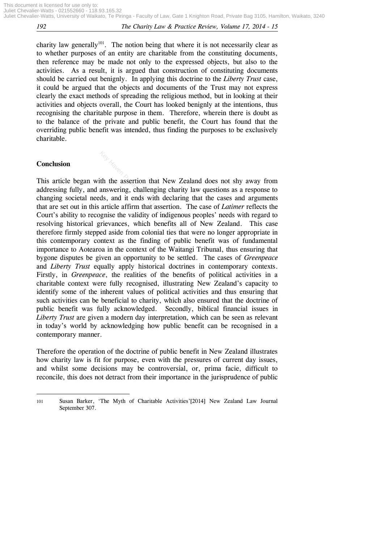charity law generally<sup>101</sup>. The notion being that where it is not necessarily clear as to whether purposes of an entity are charitable from the constituting documents, then reference may be made not only to the expressed objects, but also to the activities. As a result, it is argued that construction of constituting documents should be carried out benignly. In applying this doctrine to the *Liberty Trust* case, it could be argued that the objects and documents of the Trust may not express clearly the exact methods of spreading the religious method, but in looking at their activities and objects overall, the Court has looked benignly at the intentions, thus recognising the charitable purpose in them. Therefore, wherein there is doubt as to the balance of the private and public benefit, the Court has found that the overriding public benefit was intended, thus finding the purposes to be exclusively charitable.

#### **Conclusion**

**.** 

This article began with the assertion that New Zealand does not shy away from addressing fully, and answering, challenging charity law questions as a response to changing societal needs, and it ends with declaring that the cases and arguments that are set out in this article affirm that assertion. The case of *Latimer* reflects the Court's ability to recognise the validity of indigenous peoples' needs with regard to resolving historical grievances, which benefits all of New Zealand. This case therefore firmly stepped aside from colonial ties that were no longer appropriate in this contemporary context as the finding of public benefit was of fundamental importance to Aotearoa in the context of the Waitangi Tribunal, thus ensuring that bygone disputes be given an opportunity to be settled. The cases of *Greenpeace* and *Liberty Trust* equally apply historical doctrines in contemporary contexts. Firstly, in *Greenpeace*, the realities of the benefits of political activities in a charitable context were fully recognised, illustrating New Zealand's capacity to identify some of the inherent values of political activities and thus ensuring that such activities can be beneficial to charity, which also ensured that the doctrine of public benefit was fully acknowledged. Secondly, biblical financial issues in *Liberty Trust* are given a modern day interpretation, which can be seen as relevant in today's world by acknowledging how public benefit can be recognised in a contemporary manner.  $k_{\text{max}}$ <br>  $k_{\text{max}}$ <br>  $k_{\text{max}}$ <br>  $k_{\text{max}}$ <br>  $k_{\text{max}}$  and it ends with declari<br>
article affirm that assertion.<br>
Signise the validity of indigen<br>
generievances, which benefits and aside from colonial ties f

Therefore the operation of the doctrine of public benefit in New Zealand illustrates how charity law is fit for purpose, even with the pressures of current day issues, and whilst some decisions may be controversial, or, prima facie, difficult to reconcile, this does not detract from their importance in the jurisprudence of public

<sup>101</sup> Susan Barker, 'The Myth of Charitable Activities'[2014] New Zealand Law Journal September 307.